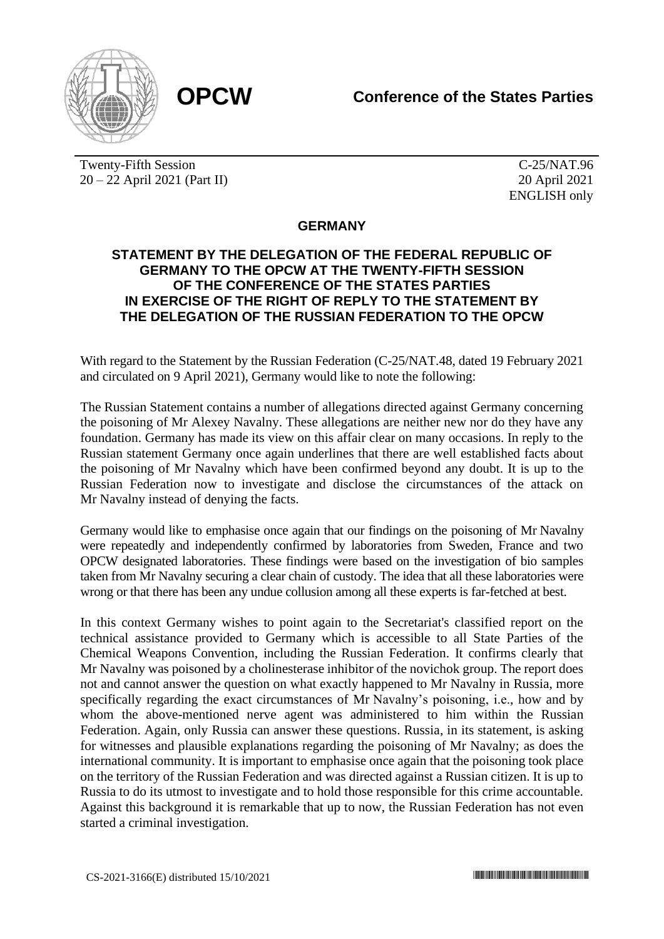

Twenty-Fifth Session 20 – 22 April 2021 (Part II)

C-25/NAT.96 20 April 2021 ENGLISH only

## **GERMANY**

## **STATEMENT BY THE DELEGATION OF THE FEDERAL REPUBLIC OF GERMANY TO THE OPCW AT THE TWENTY-FIFTH SESSION OF THE CONFERENCE OF THE STATES PARTIES IN EXERCISE OF THE RIGHT OF REPLY TO THE STATEMENT BY THE DELEGATION OF THE RUSSIAN FEDERATION TO THE OPCW**

With regard to the Statement by the Russian Federation (C-25/NAT.48, dated 19 February 2021 and circulated on 9 April 2021), Germany would like to note the following:

The Russian Statement contains a number of allegations directed against Germany concerning the poisoning of Mr Alexey Navalny. These allegations are neither new nor do they have any foundation. Germany has made its view on this affair clear on many occasions. In reply to the Russian statement Germany once again underlines that there are well established facts about the poisoning of Mr Navalny which have been confirmed beyond any doubt. It is up to the Russian Federation now to investigate and disclose the circumstances of the attack on Mr Navalny instead of denying the facts.

Germany would like to emphasise once again that our findings on the poisoning of Mr Navalny were repeatedly and independently confirmed by laboratories from Sweden, France and two OPCW designated laboratories. These findings were based on the investigation of bio samples taken from Mr Navalny securing a clear chain of custody. The idea that all these laboratories were wrong or that there has been any undue collusion among all these experts is far-fetched at best.

In this context Germany wishes to point again to the Secretariat's classified report on the technical assistance provided to Germany which is accessible to all State Parties of the Chemical Weapons Convention, including the Russian Federation. It confirms clearly that Mr Navalny was poisoned by a cholinesterase inhibitor of the novichok group. The report does not and cannot answer the question on what exactly happened to Mr Navalny in Russia, more specifically regarding the exact circumstances of Mr Navalny's poisoning, i.e., how and by whom the above-mentioned nerve agent was administered to him within the Russian Federation. Again, only Russia can answer these questions. Russia, in its statement, is asking for witnesses and plausible explanations regarding the poisoning of Mr Navalny; as does the international community. It is important to emphasise once again that the poisoning took place on the territory of the Russian Federation and was directed against a Russian citizen. It is up to Russia to do its utmost to investigate and to hold those responsible for this crime accountable. Against this background it is remarkable that up to now, the Russian Federation has not even started a criminal investigation.